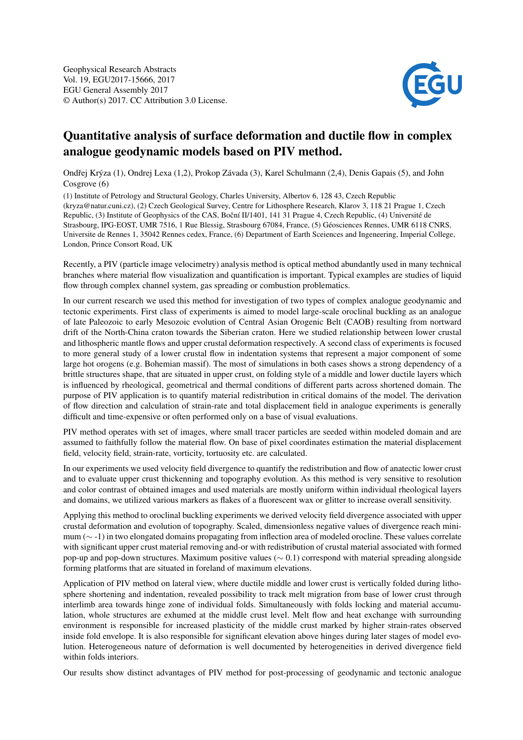

## Quantitative analysis of surface deformation and ductile flow in complex analogue geodynamic models based on PIV method.

Ondřej Krýza (1), Ondrej Lexa (1,2), Prokop Závada (3), Karel Schulmann (2,4), Denis Gapais (5), and John Cosgrove (6)

(1) Institute of Petrology and Structural Geology, Charles University, Albertov 6, 128 43, Czech Republic (kryza@natur.cuni.cz), (2) Czech Geological Survey, Centre for Lithosphere Research, Klarov 3, 118 21 Prague 1, Czech Republic, (3) Institute of Geophysics of the CAS, Boční II/1401, 141 31 Prague 4, Czech Republic, (4) Université de Strasbourg, IPG-EOST, UMR 7516, 1 Rue Blessig, Strasbourg 67084, France, (5) Géosciences Rennes, UMR 6118 CNRS, Universite de Rennes 1, 35042 Rennes cedex, France, (6) Department of Earth Sceiences and Ingeneering, Imperial College, London, Prince Consort Road, UK

Recently, a PIV (particle image velocimetry) analysis method is optical method abundantly used in many technical branches where material flow visualization and quantification is important. Typical examples are studies of liquid flow through complex channel system, gas spreading or combustion problematics.

In our current research we used this method for investigation of two types of complex analogue geodynamic and tectonic experiments. First class of experiments is aimed to model large-scale oroclinal buckling as an analogue of late Paleozoic to early Mesozoic evolution of Central Asian Orogenic Belt (CAOB) resulting from nortward drift of the North-China craton towards the Siberian craton. Here we studied relationship between lower crustal and lithospheric mantle flows and upper crustal deformation respectively. A second class of experiments is focused to more general study of a lower crustal flow in indentation systems that represent a major component of some large hot orogens (e.g. Bohemian massif). The most of simulations in both cases shows a strong dependency of a brittle structures shape, that are situated in upper crust, on folding style of a middle and lower ductile layers which is influenced by rheological, geometrical and thermal conditions of different parts across shortened domain. The purpose of PIV application is to quantify material redistribution in critical domains of the model. The derivation of flow direction and calculation of strain-rate and total displacement field in analogue experiments is generally difficult and time-expensive or often performed only on a base of visual evaluations.

PIV method operates with set of images, where small tracer particles are seeded within modeled domain and are assumed to faithfully follow the material flow. On base of pixel coordinates estimation the material displacement field, velocity field, strain-rate, vorticity, tortuosity etc. are calculated.

In our experiments we used velocity field divergence to quantify the redistribution and flow of anatectic lower crust and to evaluate upper crust thickenning and topography evolution. As this method is very sensitive to resolution and color contrast of obtained images and used materials are mostly uniform within individual rheological layers and domains, we utilized various markers as flakes of a fluorescent wax or glitter to increase overall sensitivity.

Applying this method to oroclinal buckling experiments we derived velocity field divergence associated with upper crustal deformation and evolution of topography. Scaled, dimensionless negative values of divergence reach minimum (∼ -1) in two elongated domains propagating from inflection area of modeled orocline. These values correlate with significant upper crust material removing and-or with redistribution of crustal material associated with formed pop-up and pop-down structures. Maximum positive values (∼ 0.1) correspond with material spreading alongside forming platforms that are situated in foreland of maximum elevations.

Application of PIV method on lateral view, where ductile middle and lower crust is vertically folded during lithosphere shortening and indentation, revealed possibility to track melt migration from base of lower crust through interlimb area towards hinge zone of individual folds. Simultaneously with folds locking and material accumulation, whole structures are exhumed at the middle crust level. Melt flow and heat exchange with surrounding environment is responsible for increased plasticity of the middle crust marked by higher strain-rates observed inside fold envelope. It is also responsible for significant elevation above hinges during later stages of model evolution. Heterogeneous nature of deformation is well documented by heterogeneities in derived divergence field within folds interiors.

Our results show distinct advantages of PIV method for post-processing of geodynamic and tectonic analogue